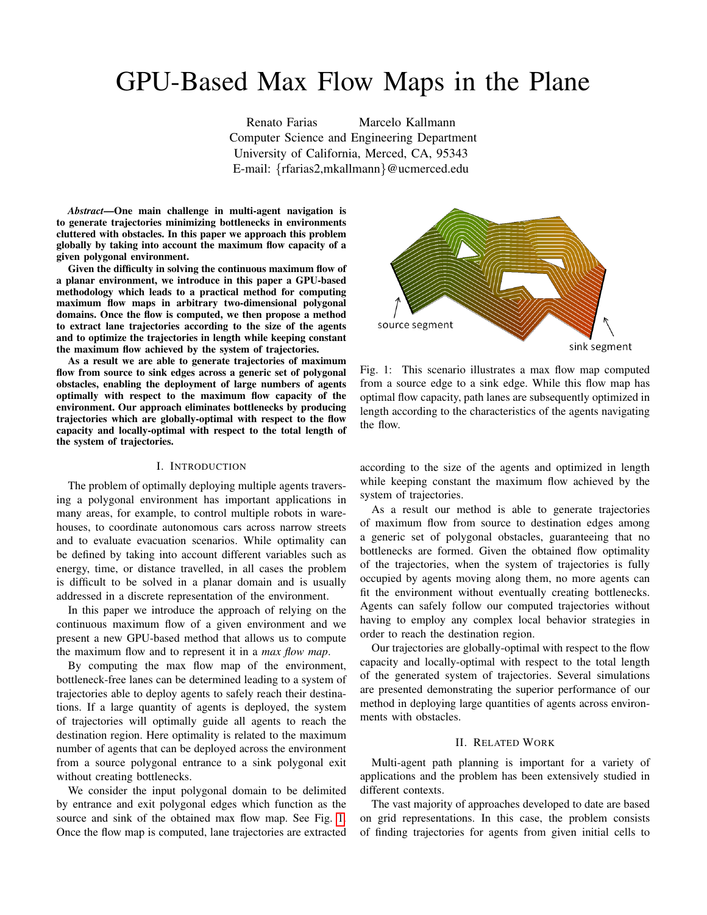# GPU-Based Max Flow Maps in the Plane

Renato Farias Marcelo Kallmann Computer Science and Engineering Department University of California, Merced, CA, 95343 E-mail: {rfarias2,mkallmann}@ucmerced.edu

*Abstract*—One main challenge in multi-agent navigation is to generate trajectories minimizing bottlenecks in environments cluttered with obstacles. In this paper we approach this problem globally by taking into account the maximum flow capacity of a given polygonal environment.

Given the difficulty in solving the continuous maximum flow of a planar environment, we introduce in this paper a GPU-based methodology which leads to a practical method for computing maximum flow maps in arbitrary two-dimensional polygonal domains. Once the flow is computed, we then propose a method to extract lane trajectories according to the size of the agents and to optimize the trajectories in length while keeping constant the maximum flow achieved by the system of trajectories.

As a result we are able to generate trajectories of maximum flow from source to sink edges across a generic set of polygonal obstacles, enabling the deployment of large numbers of agents optimally with respect to the maximum flow capacity of the environment. Our approach eliminates bottlenecks by producing trajectories which are globally-optimal with respect to the flow capacity and locally-optimal with respect to the total length of the system of trajectories.

#### I. INTRODUCTION

The problem of optimally deploying multiple agents traversing a polygonal environment has important applications in many areas, for example, to control multiple robots in warehouses, to coordinate autonomous cars across narrow streets and to evaluate evacuation scenarios. While optimality can be defined by taking into account different variables such as energy, time, or distance travelled, in all cases the problem is difficult to be solved in a planar domain and is usually addressed in a discrete representation of the environment.

In this paper we introduce the approach of relying on the continuous maximum flow of a given environment and we present a new GPU-based method that allows us to compute the maximum flow and to represent it in a *max flow map*.

By computing the max flow map of the environment, bottleneck-free lanes can be determined leading to a system of trajectories able to deploy agents to safely reach their destinations. If a large quantity of agents is deployed, the system of trajectories will optimally guide all agents to reach the destination region. Here optimality is related to the maximum number of agents that can be deployed across the environment from a source polygonal entrance to a sink polygonal exit without creating bottlenecks.

We consider the input polygonal domain to be delimited by entrance and exit polygonal edges which function as the source and sink of the obtained max flow map. See Fig. [1.](#page-0-0) Once the flow map is computed, lane trajectories are extracted

<span id="page-0-0"></span>

Fig. 1: This scenario illustrates a max flow map computed from a source edge to a sink edge. While this flow map has optimal flow capacity, path lanes are subsequently optimized in length according to the characteristics of the agents navigating the flow.

according to the size of the agents and optimized in length while keeping constant the maximum flow achieved by the system of trajectories.

As a result our method is able to generate trajectories of maximum flow from source to destination edges among a generic set of polygonal obstacles, guaranteeing that no bottlenecks are formed. Given the obtained flow optimality of the trajectories, when the system of trajectories is fully occupied by agents moving along them, no more agents can fit the environment without eventually creating bottlenecks. Agents can safely follow our computed trajectories without having to employ any complex local behavior strategies in order to reach the destination region.

Our trajectories are globally-optimal with respect to the flow capacity and locally-optimal with respect to the total length of the generated system of trajectories. Several simulations are presented demonstrating the superior performance of our method in deploying large quantities of agents across environments with obstacles.

# II. RELATED WORK

Multi-agent path planning is important for a variety of applications and the problem has been extensively studied in different contexts.

The vast majority of approaches developed to date are based on grid representations. In this case, the problem consists of finding trajectories for agents from given initial cells to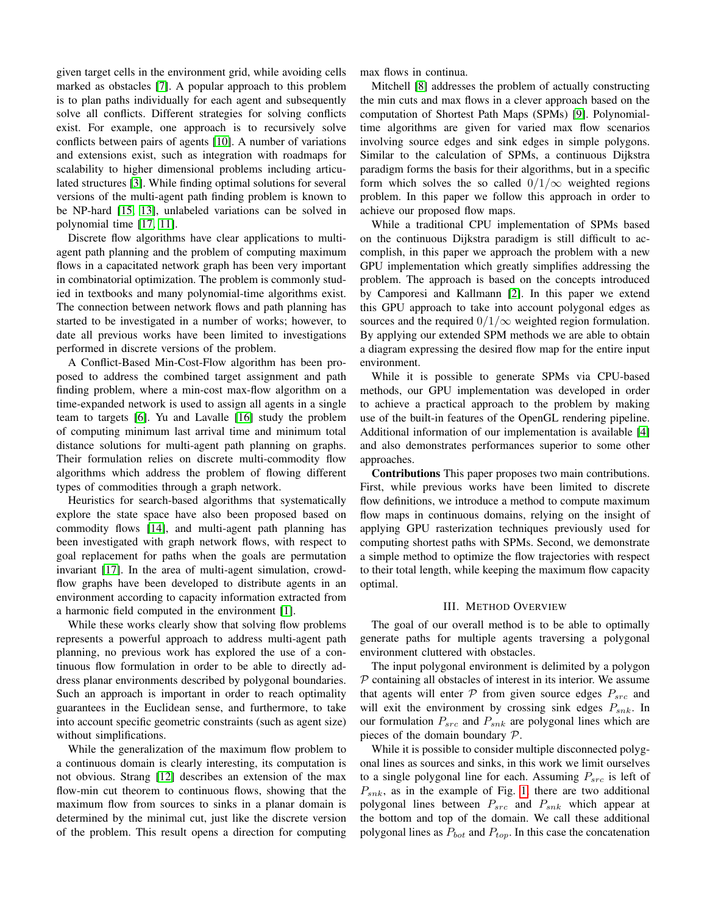given target cells in the environment grid, while avoiding cells marked as obstacles [\[7\]](#page-7-0). A popular approach to this problem is to plan paths individually for each agent and subsequently solve all conflicts. Different strategies for solving conflicts exist. For example, one approach is to recursively solve conflicts between pairs of agents [\[10\]](#page-8-0). A number of variations and extensions exist, such as integration with roadmaps for scalability to higher dimensional problems including articulated structures [\[3\]](#page-7-1). While finding optimal solutions for several versions of the multi-agent path finding problem is known to be NP-hard [\[15,](#page-8-1) [13\]](#page-8-2), unlabeled variations can be solved in polynomial time [\[17,](#page-8-3) [11\]](#page-8-4).

Discrete flow algorithms have clear applications to multiagent path planning and the problem of computing maximum flows in a capacitated network graph has been very important in combinatorial optimization. The problem is commonly studied in textbooks and many polynomial-time algorithms exist. The connection between network flows and path planning has started to be investigated in a number of works; however, to date all previous works have been limited to investigations performed in discrete versions of the problem.

A Conflict-Based Min-Cost-Flow algorithm has been proposed to address the combined target assignment and path finding problem, where a min-cost max-flow algorithm on a time-expanded network is used to assign all agents in a single team to targets [\[6\]](#page-7-2). Yu and Lavalle [\[16\]](#page-8-5) study the problem of computing minimum last arrival time and minimum total distance solutions for multi-agent path planning on graphs. Their formulation relies on discrete multi-commodity flow algorithms which address the problem of flowing different types of commodities through a graph network.

Heuristics for search-based algorithms that systematically explore the state space have also been proposed based on commodity flows [\[14\]](#page-8-6), and multi-agent path planning has been investigated with graph network flows, with respect to goal replacement for paths when the goals are permutation invariant [\[17\]](#page-8-3). In the area of multi-agent simulation, crowdflow graphs have been developed to distribute agents in an environment according to capacity information extracted from a harmonic field computed in the environment [\[1\]](#page-7-3).

While these works clearly show that solving flow problems represents a powerful approach to address multi-agent path planning, no previous work has explored the use of a continuous flow formulation in order to be able to directly address planar environments described by polygonal boundaries. Such an approach is important in order to reach optimality guarantees in the Euclidean sense, and furthermore, to take into account specific geometric constraints (such as agent size) without simplifications.

While the generalization of the maximum flow problem to a continuous domain is clearly interesting, its computation is not obvious. Strang [\[12\]](#page-8-7) describes an extension of the max flow-min cut theorem to continuous flows, showing that the maximum flow from sources to sinks in a planar domain is determined by the minimal cut, just like the discrete version of the problem. This result opens a direction for computing max flows in continua.

Mitchell [\[8\]](#page-7-4) addresses the problem of actually constructing the min cuts and max flows in a clever approach based on the computation of Shortest Path Maps (SPMs) [\[9\]](#page-8-8). Polynomialtime algorithms are given for varied max flow scenarios involving source edges and sink edges in simple polygons. Similar to the calculation of SPMs, a continuous Dijkstra paradigm forms the basis for their algorithms, but in a specific form which solves the so called  $0/1/\infty$  weighted regions problem. In this paper we follow this approach in order to achieve our proposed flow maps.

While a traditional CPU implementation of SPMs based on the continuous Dijkstra paradigm is still difficult to accomplish, in this paper we approach the problem with a new GPU implementation which greatly simplifies addressing the problem. The approach is based on the concepts introduced by Camporesi and Kallmann [\[2\]](#page-7-5). In this paper we extend this GPU approach to take into account polygonal edges as sources and the required  $0/1/\infty$  weighted region formulation. By applying our extended SPM methods we are able to obtain a diagram expressing the desired flow map for the entire input environment.

While it is possible to generate SPMs via CPU-based methods, our GPU implementation was developed in order to achieve a practical approach to the problem by making use of the built-in features of the OpenGL rendering pipeline. Additional information of our implementation is available [\[4\]](#page-7-6) and also demonstrates performances superior to some other approaches.

Contributions This paper proposes two main contributions. First, while previous works have been limited to discrete flow definitions, we introduce a method to compute maximum flow maps in continuous domains, relying on the insight of applying GPU rasterization techniques previously used for computing shortest paths with SPMs. Second, we demonstrate a simple method to optimize the flow trajectories with respect to their total length, while keeping the maximum flow capacity optimal.

## III. METHOD OVERVIEW

The goal of our overall method is to be able to optimally generate paths for multiple agents traversing a polygonal environment cluttered with obstacles.

The input polygonal environment is delimited by a polygon  $P$  containing all obstacles of interest in its interior. We assume that agents will enter  $P$  from given source edges  $P_{src}$  and will exit the environment by crossing sink edges  $P_{snk}$ . In our formulation  $P_{src}$  and  $P_{snk}$  are polygonal lines which are pieces of the domain boundary P.

While it is possible to consider multiple disconnected polygonal lines as sources and sinks, in this work we limit ourselves to a single polygonal line for each. Assuming  $P_{src}$  is left of  $P_{snk}$ , as in the example of Fig. [1,](#page-0-0) there are two additional polygonal lines between  $P_{src}$  and  $P_{snk}$  which appear at the bottom and top of the domain. We call these additional polygonal lines as  $P_{bot}$  and  $P_{top}$ . In this case the concatenation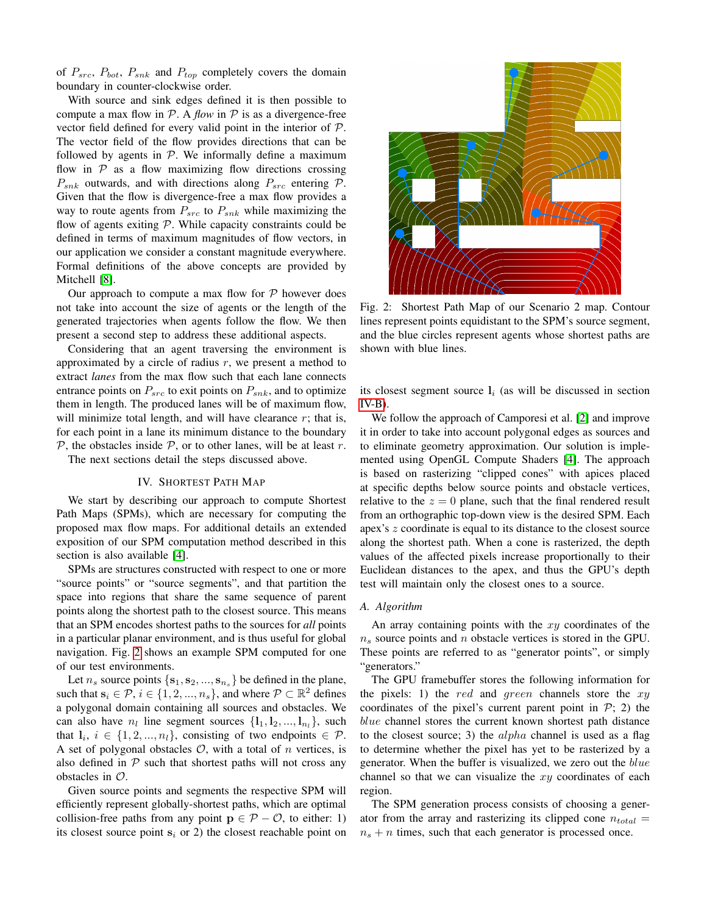of  $P_{src}$ ,  $P_{bot}$ ,  $P_{snk}$  and  $P_{top}$  completely covers the domain boundary in counter-clockwise order.

With source and sink edges defined it is then possible to compute a max flow in  $P$ . A *flow* in  $P$  is as a divergence-free vector field defined for every valid point in the interior of P. The vector field of the flow provides directions that can be followed by agents in  $P$ . We informally define a maximum flow in  $P$  as a flow maximizing flow directions crossing  $P_{snk}$  outwards, and with directions along  $P_{src}$  entering  $P$ . Given that the flow is divergence-free a max flow provides a way to route agents from  $P_{src}$  to  $P_{snk}$  while maximizing the flow of agents exiting  $P$ . While capacity constraints could be defined in terms of maximum magnitudes of flow vectors, in our application we consider a constant magnitude everywhere. Formal definitions of the above concepts are provided by Mitchell [\[8\]](#page-7-4).

Our approach to compute a max flow for  $P$  however does not take into account the size of agents or the length of the generated trajectories when agents follow the flow. We then present a second step to address these additional aspects.

Considering that an agent traversing the environment is approximated by a circle of radius  $r$ , we present a method to extract *lanes* from the max flow such that each lane connects entrance points on  $P_{src}$  to exit points on  $P_{snk}$ , and to optimize them in length. The produced lanes will be of maximum flow, will minimize total length, and will have clearance  $r$ ; that is, for each point in a lane its minimum distance to the boundary  $P$ , the obstacles inside  $P$ , or to other lanes, will be at least r.

The next sections detail the steps discussed above.

#### IV. SHORTEST PATH MAP

We start by describing our approach to compute Shortest Path Maps (SPMs), which are necessary for computing the proposed max flow maps. For additional details an extended exposition of our SPM computation method described in this section is also available [\[4\]](#page-7-6).

SPMs are structures constructed with respect to one or more "source points" or "source segments", and that partition the space into regions that share the same sequence of parent points along the shortest path to the closest source. This means that an SPM encodes shortest paths to the sources for *all* points in a particular planar environment, and is thus useful for global navigation. Fig. [2](#page-2-0) shows an example SPM computed for one of our test environments.

Let  $n_s$  source points  $\{s_1, s_2, ..., s_{n_s}\}$  be defined in the plane, such that  $s_i \in \mathcal{P}, i \in \{1, 2, ..., n_s\}$ , and where  $\mathcal{P} \subset \mathbb{R}^2$  defines a polygonal domain containing all sources and obstacles. We can also have  $n_l$  line segment sources  $\{l_1, l_2, ..., l_{n_l}\}$ , such that  $l_i, i \in \{1, 2, ..., n_l\}$ , consisting of two endpoints  $\in \mathcal{P}$ . A set of polygonal obstacles  $\mathcal{O}$ , with a total of n vertices, is also defined in  $P$  such that shortest paths will not cross any obstacles in  $\mathcal{O}$ .

Given source points and segments the respective SPM will efficiently represent globally-shortest paths, which are optimal collision-free paths from any point  $p \in \mathcal{P} - \mathcal{O}$ , to either: 1) its closest source point  $s_i$  or 2) the closest reachable point on

<span id="page-2-0"></span>

Fig. 2: Shortest Path Map of our Scenario 2 map. Contour lines represent points equidistant to the SPM's source segment, and the blue circles represent agents whose shortest paths are shown with blue lines.

its closest segment source  $l_i$  (as will be discussed in section  $IV-B$ ).

We follow the approach of Camporesi et al. [\[2\]](#page-7-5) and improve it in order to take into account polygonal edges as sources and to eliminate geometry approximation. Our solution is implemented using OpenGL Compute Shaders [\[4\]](#page-7-6). The approach is based on rasterizing "clipped cones" with apices placed at specific depths below source points and obstacle vertices, relative to the  $z = 0$  plane, such that the final rendered result from an orthographic top-down view is the desired SPM. Each apex's z coordinate is equal to its distance to the closest source along the shortest path. When a cone is rasterized, the depth values of the affected pixels increase proportionally to their Euclidean distances to the apex, and thus the GPU's depth test will maintain only the closest ones to a source.

# *A. Algorithm*

An array containing points with the  $xy$  coordinates of the  $n<sub>s</sub>$  source points and n obstacle vertices is stored in the GPU. These points are referred to as "generator points", or simply "generators."

The GPU framebuffer stores the following information for the pixels: 1) the red and green channels store the  $xy$ coordinates of the pixel's current parent point in  $P$ ; 2) the blue channel stores the current known shortest path distance to the closest source; 3) the  $alpha$  channel is used as a flag to determine whether the pixel has yet to be rasterized by a generator. When the buffer is visualized, we zero out the blue channel so that we can visualize the  $xy$  coordinates of each region.

The SPM generation process consists of choosing a generator from the array and rasterizing its clipped cone  $n_{total}$  =  $n<sub>s</sub> + n$  times, such that each generator is processed once.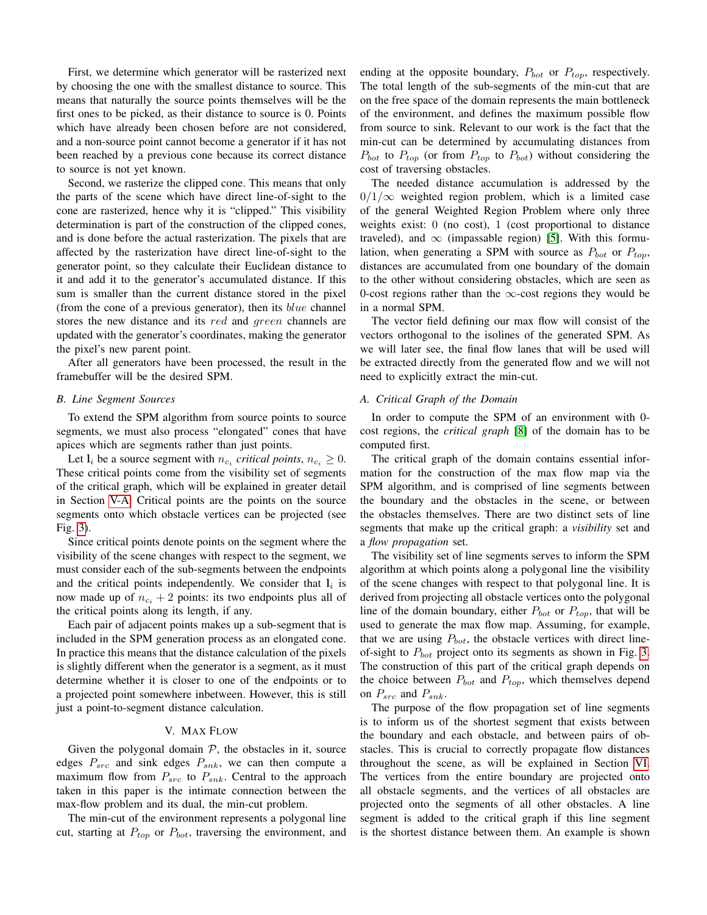First, we determine which generator will be rasterized next by choosing the one with the smallest distance to source. This means that naturally the source points themselves will be the first ones to be picked, as their distance to source is 0. Points which have already been chosen before are not considered, and a non-source point cannot become a generator if it has not been reached by a previous cone because its correct distance to source is not yet known.

Second, we rasterize the clipped cone. This means that only the parts of the scene which have direct line-of-sight to the cone are rasterized, hence why it is "clipped." This visibility determination is part of the construction of the clipped cones, and is done before the actual rasterization. The pixels that are affected by the rasterization have direct line-of-sight to the generator point, so they calculate their Euclidean distance to it and add it to the generator's accumulated distance. If this sum is smaller than the current distance stored in the pixel (from the cone of a previous generator), then its  $blue$  channel stores the new distance and its red and green channels are updated with the generator's coordinates, making the generator the pixel's new parent point.

After all generators have been processed, the result in the framebuffer will be the desired SPM.

# <span id="page-3-0"></span>*B. Line Segment Sources*

To extend the SPM algorithm from source points to source segments, we must also process "elongated" cones that have apices which are segments rather than just points.

Let  $l_i$  be a source segment with  $n_{c_i}$  critical points,  $n_{c_i} \geq 0$ . These critical points come from the visibility set of segments of the critical graph, which will be explained in greater detail in Section [V-A.](#page-3-1) Critical points are the points on the source segments onto which obstacle vertices can be projected (see Fig. [3\)](#page-4-0).

Since critical points denote points on the segment where the visibility of the scene changes with respect to the segment, we must consider each of the sub-segments between the endpoints and the critical points independently. We consider that  $l_i$  is now made up of  $n_{c_i} + 2$  points: its two endpoints plus all of the critical points along its length, if any.

Each pair of adjacent points makes up a sub-segment that is included in the SPM generation process as an elongated cone. In practice this means that the distance calculation of the pixels is slightly different when the generator is a segment, as it must determine whether it is closer to one of the endpoints or to a projected point somewhere inbetween. However, this is still just a point-to-segment distance calculation.

# V. MAX FLOW

Given the polygonal domain  $P$ , the obstacles in it, source edges  $P_{src}$  and sink edges  $P_{snk}$ , we can then compute a maximum flow from  $P_{src}$  to  $P_{snk}$ . Central to the approach taken in this paper is the intimate connection between the max-flow problem and its dual, the min-cut problem.

The min-cut of the environment represents a polygonal line cut, starting at  $P_{top}$  or  $P_{bot}$ , traversing the environment, and ending at the opposite boundary,  $P_{bot}$  or  $P_{top}$ , respectively. The total length of the sub-segments of the min-cut that are on the free space of the domain represents the main bottleneck of the environment, and defines the maximum possible flow from source to sink. Relevant to our work is the fact that the min-cut can be determined by accumulating distances from  $P_{bot}$  to  $P_{top}$  (or from  $P_{top}$  to  $P_{bot}$ ) without considering the cost of traversing obstacles.

The needed distance accumulation is addressed by the  $0/1/\infty$  weighted region problem, which is a limited case of the general Weighted Region Problem where only three weights exist: 0 (no cost), 1 (cost proportional to distance traveled), and  $\infty$  (impassable region) [\[5\]](#page-7-7). With this formulation, when generating a SPM with source as  $P_{bot}$  or  $P_{top}$ , distances are accumulated from one boundary of the domain to the other without considering obstacles, which are seen as 0-cost regions rather than the  $\infty$ -cost regions they would be in a normal SPM.

The vector field defining our max flow will consist of the vectors orthogonal to the isolines of the generated SPM. As we will later see, the final flow lanes that will be used will be extracted directly from the generated flow and we will not need to explicitly extract the min-cut.

# <span id="page-3-1"></span>*A. Critical Graph of the Domain*

In order to compute the SPM of an environment with 0 cost regions, the *critical graph* [\[8\]](#page-7-4) of the domain has to be computed first.

The critical graph of the domain contains essential information for the construction of the max flow map via the SPM algorithm, and is comprised of line segments between the boundary and the obstacles in the scene, or between the obstacles themselves. There are two distinct sets of line segments that make up the critical graph: a *visibility* set and a *flow propagation* set.

The visibility set of line segments serves to inform the SPM algorithm at which points along a polygonal line the visibility of the scene changes with respect to that polygonal line. It is derived from projecting all obstacle vertices onto the polygonal line of the domain boundary, either  $P_{bot}$  or  $P_{top}$ , that will be used to generate the max flow map. Assuming, for example, that we are using  $P_{bot}$ , the obstacle vertices with direct lineof-sight to  $P_{bot}$  project onto its segments as shown in Fig. [3.](#page-4-0) The construction of this part of the critical graph depends on the choice between  $P_{bot}$  and  $P_{top}$ , which themselves depend on  $P_{src}$  and  $P_{snk}$ .

The purpose of the flow propagation set of line segments is to inform us of the shortest segment that exists between the boundary and each obstacle, and between pairs of obstacles. This is crucial to correctly propagate flow distances throughout the scene, as will be explained in Section [VI.](#page-4-1) The vertices from the entire boundary are projected onto all obstacle segments, and the vertices of all obstacles are projected onto the segments of all other obstacles. A line segment is added to the critical graph if this line segment is the shortest distance between them. An example is shown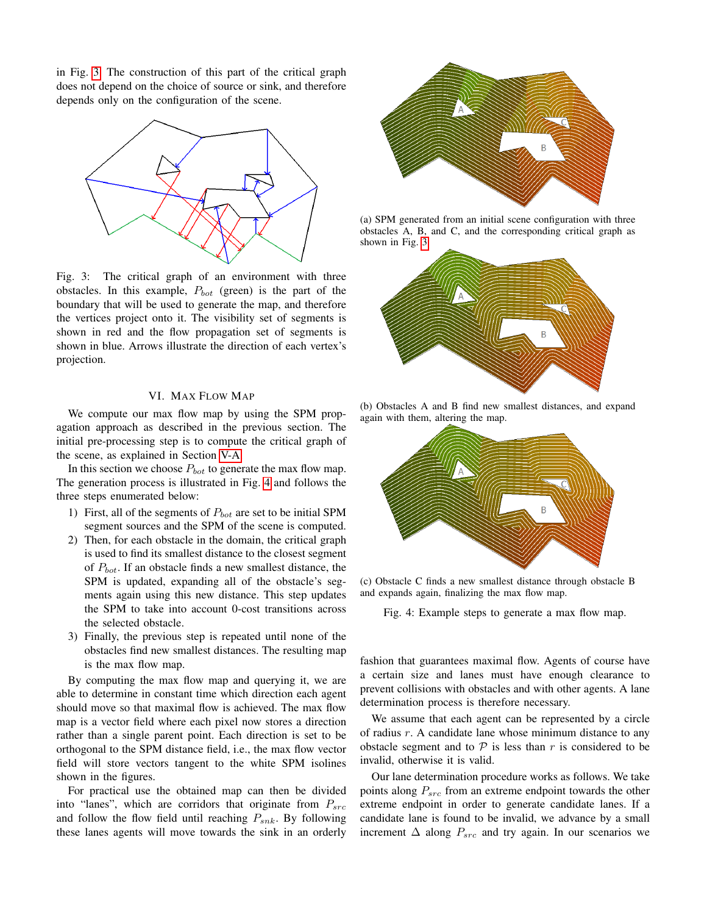in Fig. [3.](#page-4-0) The construction of this part of the critical graph does not depend on the choice of source or sink, and therefore depends only on the configuration of the scene.

<span id="page-4-0"></span>

Fig. 3: The critical graph of an environment with three obstacles. In this example,  $P_{bot}$  (green) is the part of the boundary that will be used to generate the map, and therefore the vertices project onto it. The visibility set of segments is shown in red and the flow propagation set of segments is shown in blue. Arrows illustrate the direction of each vertex's projection.

## VI. MAX FLOW MAP

<span id="page-4-1"></span>We compute our max flow map by using the SPM propagation approach as described in the previous section. The initial pre-processing step is to compute the critical graph of the scene, as explained in Section [V-A.](#page-3-1)

In this section we choose  $P_{bot}$  to generate the max flow map. The generation process is illustrated in Fig. [4](#page-4-2) and follows the three steps enumerated below:

- 1) First, all of the segments of  $P_{bot}$  are set to be initial SPM segment sources and the SPM of the scene is computed.
- 2) Then, for each obstacle in the domain, the critical graph is used to find its smallest distance to the closest segment of  $P_{bot}$ . If an obstacle finds a new smallest distance, the SPM is updated, expanding all of the obstacle's segments again using this new distance. This step updates the SPM to take into account 0-cost transitions across the selected obstacle.
- 3) Finally, the previous step is repeated until none of the obstacles find new smallest distances. The resulting map is the max flow map.

By computing the max flow map and querying it, we are able to determine in constant time which direction each agent should move so that maximal flow is achieved. The max flow map is a vector field where each pixel now stores a direction rather than a single parent point. Each direction is set to be orthogonal to the SPM distance field, i.e., the max flow vector field will store vectors tangent to the white SPM isolines shown in the figures.

For practical use the obtained map can then be divided into "lanes", which are corridors that originate from  $P_{src}$ and follow the flow field until reaching  $P_{snk}$ . By following these lanes agents will move towards the sink in an orderly

<span id="page-4-2"></span>

(a) SPM generated from an initial scene configuration with three obstacles A, B, and C, and the corresponding critical graph as shown in Fig. [3.](#page-4-0)



(b) Obstacles A and B find new smallest distances, and expand again with them, altering the map.



(c) Obstacle C finds a new smallest distance through obstacle B and expands again, finalizing the max flow map.

Fig. 4: Example steps to generate a max flow map.

fashion that guarantees maximal flow. Agents of course have a certain size and lanes must have enough clearance to prevent collisions with obstacles and with other agents. A lane determination process is therefore necessary.

We assume that each agent can be represented by a circle of radius  $r$ . A candidate lane whose minimum distance to any obstacle segment and to  $P$  is less than r is considered to be invalid, otherwise it is valid.

Our lane determination procedure works as follows. We take points along  $P_{src}$  from an extreme endpoint towards the other extreme endpoint in order to generate candidate lanes. If a candidate lane is found to be invalid, we advance by a small increment  $\Delta$  along  $P_{src}$  and try again. In our scenarios we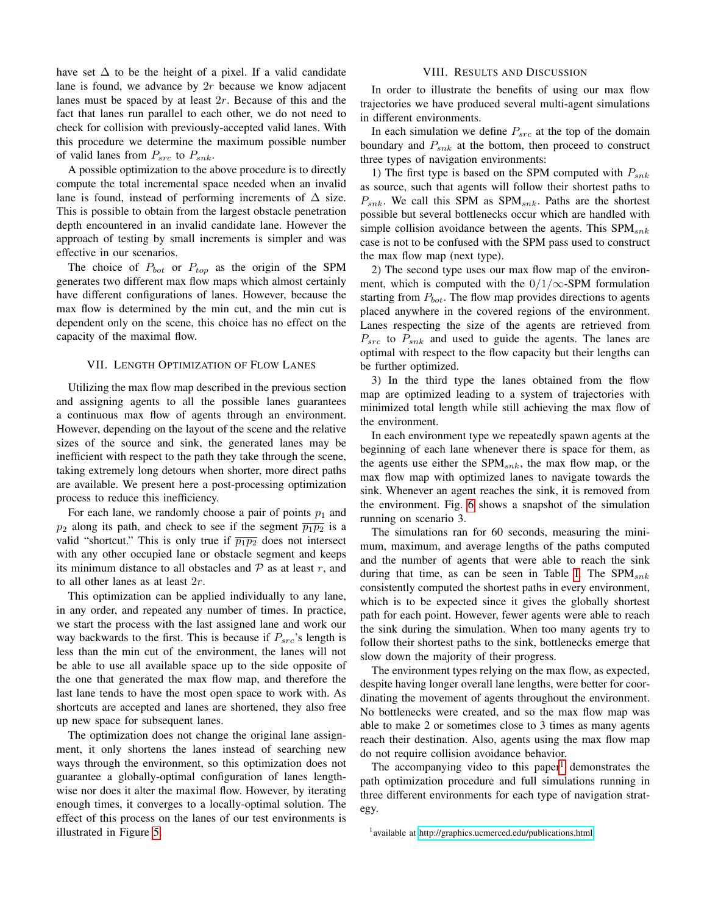have set  $\Delta$  to be the height of a pixel. If a valid candidate lane is found, we advance by 2r because we know adjacent lanes must be spaced by at least 2r. Because of this and the fact that lanes run parallel to each other, we do not need to check for collision with previously-accepted valid lanes. With this procedure we determine the maximum possible number of valid lanes from  $P_{src}$  to  $P_{snk}$ .

A possible optimization to the above procedure is to directly compute the total incremental space needed when an invalid lane is found, instead of performing increments of  $\Delta$  size. This is possible to obtain from the largest obstacle penetration depth encountered in an invalid candidate lane. However the approach of testing by small increments is simpler and was effective in our scenarios.

The choice of  $P_{bot}$  or  $P_{top}$  as the origin of the SPM generates two different max flow maps which almost certainly have different configurations of lanes. However, because the max flow is determined by the min cut, and the min cut is dependent only on the scene, this choice has no effect on the capacity of the maximal flow.

#### VII. LENGTH OPTIMIZATION OF FLOW LANES

Utilizing the max flow map described in the previous section and assigning agents to all the possible lanes guarantees a continuous max flow of agents through an environment. However, depending on the layout of the scene and the relative sizes of the source and sink, the generated lanes may be inefficient with respect to the path they take through the scene, taking extremely long detours when shorter, more direct paths are available. We present here a post-processing optimization process to reduce this inefficiency.

For each lane, we randomly choose a pair of points  $p_1$  and  $p_2$  along its path, and check to see if the segment  $\overline{p_1p_2}$  is a valid "shortcut." This is only true if  $\overline{p_1p_2}$  does not intersect with any other occupied lane or obstacle segment and keeps its minimum distance to all obstacles and  $P$  as at least r, and to all other lanes as at least 2r.

This optimization can be applied individually to any lane, in any order, and repeated any number of times. In practice, we start the process with the last assigned lane and work our way backwards to the first. This is because if  $P_{src}$ 's length is less than the min cut of the environment, the lanes will not be able to use all available space up to the side opposite of the one that generated the max flow map, and therefore the last lane tends to have the most open space to work with. As shortcuts are accepted and lanes are shortened, they also free up new space for subsequent lanes.

The optimization does not change the original lane assignment, it only shortens the lanes instead of searching new ways through the environment, so this optimization does not guarantee a globally-optimal configuration of lanes lengthwise nor does it alter the maximal flow. However, by iterating enough times, it converges to a locally-optimal solution. The effect of this process on the lanes of our test environments is illustrated in Figure [5.](#page-6-0)

#### VIII. RESULTS AND DISCUSSION

In order to illustrate the benefits of using our max flow trajectories we have produced several multi-agent simulations in different environments.

In each simulation we define  $P_{src}$  at the top of the domain boundary and  $P_{snk}$  at the bottom, then proceed to construct three types of navigation environments:

1) The first type is based on the SPM computed with  $P_{snk}$ as source, such that agents will follow their shortest paths to  $P_{snk}$ . We call this SPM as SPM<sub>snk</sub>. Paths are the shortest possible but several bottlenecks occur which are handled with simple collision avoidance between the agents. This  $SPM_{snk}$ case is not to be confused with the SPM pass used to construct the max flow map (next type).

2) The second type uses our max flow map of the environment, which is computed with the  $0/1/\infty$ -SPM formulation starting from  $P_{bot}$ . The flow map provides directions to agents placed anywhere in the covered regions of the environment. Lanes respecting the size of the agents are retrieved from  $P_{src}$  to  $P_{snk}$  and used to guide the agents. The lanes are optimal with respect to the flow capacity but their lengths can be further optimized.

3) In the third type the lanes obtained from the flow map are optimized leading to a system of trajectories with minimized total length while still achieving the max flow of the environment.

In each environment type we repeatedly spawn agents at the beginning of each lane whenever there is space for them, as the agents use either the  $SPM_{snk}$ , the max flow map, or the max flow map with optimized lanes to navigate towards the sink. Whenever an agent reaches the sink, it is removed from the environment. Fig. [6](#page-7-8) shows a snapshot of the simulation running on scenario 3.

The simulations ran for 60 seconds, measuring the minimum, maximum, and average lengths of the paths computed and the number of agents that were able to reach the sink during that time, as can be seen in Table [I.](#page-6-1) The  $SPM_{snk}$ consistently computed the shortest paths in every environment, which is to be expected since it gives the globally shortest path for each point. However, fewer agents were able to reach the sink during the simulation. When too many agents try to follow their shortest paths to the sink, bottlenecks emerge that slow down the majority of their progress.

The environment types relying on the max flow, as expected, despite having longer overall lane lengths, were better for coordinating the movement of agents throughout the environment. No bottlenecks were created, and so the max flow map was able to make 2 or sometimes close to 3 times as many agents reach their destination. Also, agents using the max flow map do not require collision avoidance behavior.

The accompanying video to this paper $1$  demonstrates the path optimization procedure and full simulations running in three different environments for each type of navigation strategy.

<span id="page-5-0"></span><sup>&</sup>lt;sup>1</sup> available at<http://graphics.ucmerced.edu/publications.html>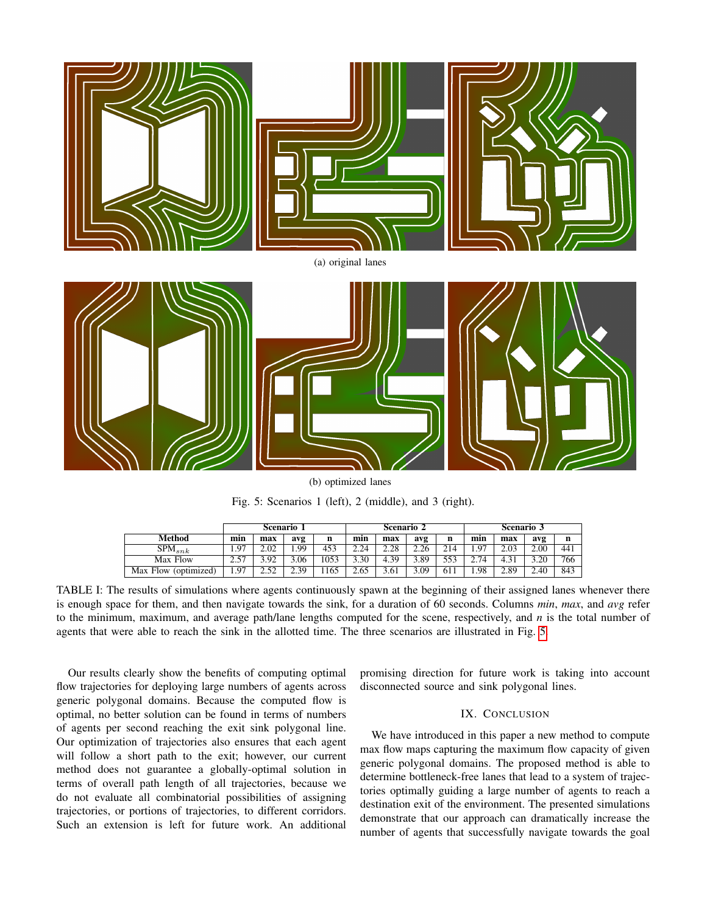<span id="page-6-0"></span>

Fig. 5: Scenarios 1 (left), 2 (middle), and 3 (right).

|                      | Scenario 1 |                    |      |      | Scenario 2 |      |      |     | Scenario 3 |      |      |     |
|----------------------|------------|--------------------|------|------|------------|------|------|-----|------------|------|------|-----|
| Method               | min        | max                | avg  | n    | min        | max  | avg  |     | min        | max  | avg  | n   |
| $SPM_{snk}$          | 1.97       | 2.02               | 1.99 | 453  | 2.24       | 2.28 | 2.26 | 214 | 1.97       | 2.03 | 2.00 | 441 |
| Max Flow             | 2.57       | 3.92               | .06  | 1053 | 3.30       | 4.39 | 3.89 | 553 | 2.74       | 4.31 | 3.20 | 766 |
| Max Flow (optimized) | 1.97       | 52<br>2.J <i>L</i> | 2.39 | 1165 | 2.65       | 3.61 | 3.09 | 61) | 1.98       | 2.89 | 2.40 | 843 |

<span id="page-6-1"></span>TABLE I: The results of simulations where agents continuously spawn at the beginning of their assigned lanes whenever there is enough space for them, and then navigate towards the sink, for a duration of 60 seconds. Columns *min*, *max*, and *avg* refer to the minimum, maximum, and average path/lane lengths computed for the scene, respectively, and *n* is the total number of agents that were able to reach the sink in the allotted time. The three scenarios are illustrated in Fig. [5.](#page-6-0)

Our results clearly show the benefits of computing optimal flow trajectories for deploying large numbers of agents across generic polygonal domains. Because the computed flow is optimal, no better solution can be found in terms of numbers of agents per second reaching the exit sink polygonal line. Our optimization of trajectories also ensures that each agent will follow a short path to the exit; however, our current method does not guarantee a globally-optimal solution in terms of overall path length of all trajectories, because we do not evaluate all combinatorial possibilities of assigning trajectories, or portions of trajectories, to different corridors. Such an extension is left for future work. An additional

promising direction for future work is taking into account disconnected source and sink polygonal lines.

## IX. CONCLUSION

We have introduced in this paper a new method to compute max flow maps capturing the maximum flow capacity of given generic polygonal domains. The proposed method is able to determine bottleneck-free lanes that lead to a system of trajectories optimally guiding a large number of agents to reach a destination exit of the environment. The presented simulations demonstrate that our approach can dramatically increase the number of agents that successfully navigate towards the goal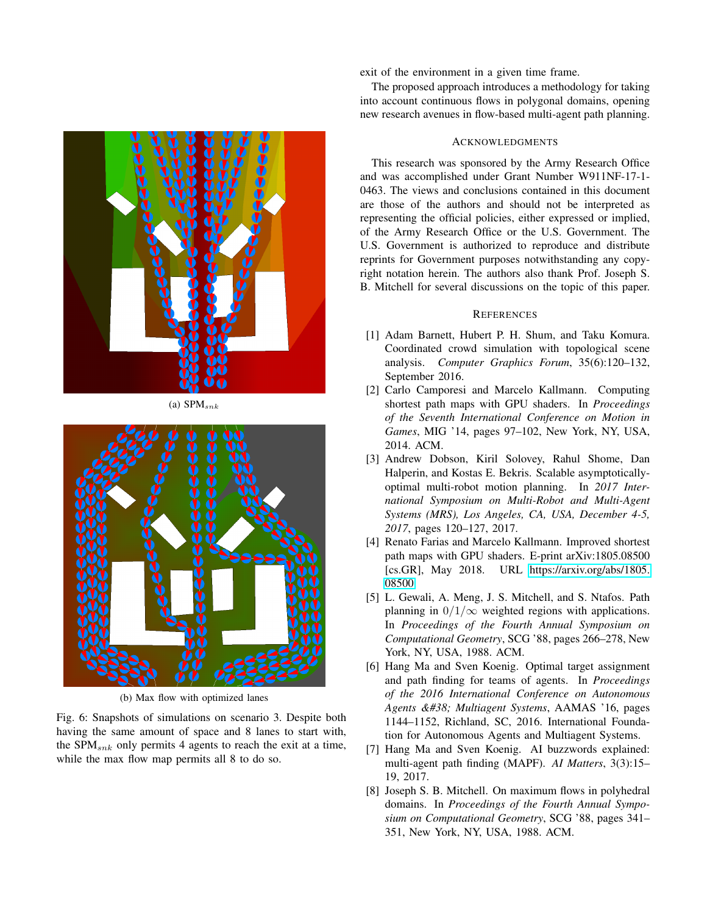<span id="page-7-8"></span>

(a)  $SPM_{snk}$ 



(b) Max flow with optimized lanes

Fig. 6: Snapshots of simulations on scenario 3. Despite both having the same amount of space and 8 lanes to start with, the SPM $_{snk}$  only permits 4 agents to reach the exit at a time, while the max flow map permits all 8 to do so.

exit of the environment in a given time frame.

The proposed approach introduces a methodology for taking into account continuous flows in polygonal domains, opening new research avenues in flow-based multi-agent path planning.

# ACKNOWLEDGMENTS

This research was sponsored by the Army Research Office and was accomplished under Grant Number W911NF-17-1- 0463. The views and conclusions contained in this document are those of the authors and should not be interpreted as representing the official policies, either expressed or implied, of the Army Research Office or the U.S. Government. The U.S. Government is authorized to reproduce and distribute reprints for Government purposes notwithstanding any copyright notation herein. The authors also thank Prof. Joseph S. B. Mitchell for several discussions on the topic of this paper.

## **REFERENCES**

- <span id="page-7-3"></span>[1] Adam Barnett, Hubert P. H. Shum, and Taku Komura. Coordinated crowd simulation with topological scene analysis. *Computer Graphics Forum*, 35(6):120–132, September 2016.
- <span id="page-7-5"></span>[2] Carlo Camporesi and Marcelo Kallmann. Computing shortest path maps with GPU shaders. In *Proceedings of the Seventh International Conference on Motion in Games*, MIG '14, pages 97–102, New York, NY, USA, 2014. ACM.
- <span id="page-7-1"></span>[3] Andrew Dobson, Kiril Solovey, Rahul Shome, Dan Halperin, and Kostas E. Bekris. Scalable asymptoticallyoptimal multi-robot motion planning. In *2017 International Symposium on Multi-Robot and Multi-Agent Systems (MRS), Los Angeles, CA, USA, December 4-5, 2017*, pages 120–127, 2017.
- <span id="page-7-6"></span>[4] Renato Farias and Marcelo Kallmann. Improved shortest path maps with GPU shaders. E-print arXiv:1805.08500 [cs.GR], May 2018. URL [https://arxiv.org/abs/1805.](https://arxiv.org/abs/1805.08500) [08500.](https://arxiv.org/abs/1805.08500)
- <span id="page-7-7"></span>[5] L. Gewali, A. Meng, J. S. Mitchell, and S. Ntafos. Path planning in  $0/1/\infty$  weighted regions with applications. In *Proceedings of the Fourth Annual Symposium on Computational Geometry*, SCG '88, pages 266–278, New York, NY, USA, 1988. ACM.
- <span id="page-7-2"></span>[6] Hang Ma and Sven Koenig. Optimal target assignment and path finding for teams of agents. In *Proceedings of the 2016 International Conference on Autonomous Agents & Multiagent Systems*, AAMAS '16, pages 1144–1152, Richland, SC, 2016. International Foundation for Autonomous Agents and Multiagent Systems.
- <span id="page-7-0"></span>[7] Hang Ma and Sven Koenig. AI buzzwords explained: multi-agent path finding (MAPF). *AI Matters*, 3(3):15– 19, 2017.
- <span id="page-7-4"></span>[8] Joseph S. B. Mitchell. On maximum flows in polyhedral domains. In *Proceedings of the Fourth Annual Symposium on Computational Geometry*, SCG '88, pages 341– 351, New York, NY, USA, 1988. ACM.